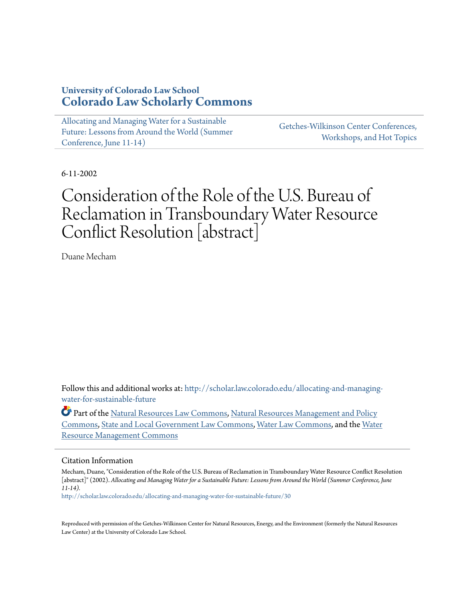### **University of Colorado Law School [Colorado Law Scholarly Commons](http://scholar.law.colorado.edu?utm_source=scholar.law.colorado.edu%2Fallocating-and-managing-water-for-sustainable-future%2F30&utm_medium=PDF&utm_campaign=PDFCoverPages)**

[Allocating and Managing Water for a Sustainable](http://scholar.law.colorado.edu/allocating-and-managing-water-for-sustainable-future?utm_source=scholar.law.colorado.edu%2Fallocating-and-managing-water-for-sustainable-future%2F30&utm_medium=PDF&utm_campaign=PDFCoverPages) [Future: Lessons from Around the World \(Summer](http://scholar.law.colorado.edu/allocating-and-managing-water-for-sustainable-future?utm_source=scholar.law.colorado.edu%2Fallocating-and-managing-water-for-sustainable-future%2F30&utm_medium=PDF&utm_campaign=PDFCoverPages) [Conference, June 11-14\)](http://scholar.law.colorado.edu/allocating-and-managing-water-for-sustainable-future?utm_source=scholar.law.colorado.edu%2Fallocating-and-managing-water-for-sustainable-future%2F30&utm_medium=PDF&utm_campaign=PDFCoverPages)

[Getches-Wilkinson Center Conferences,](http://scholar.law.colorado.edu/conferences2002?utm_source=scholar.law.colorado.edu%2Fallocating-and-managing-water-for-sustainable-future%2F30&utm_medium=PDF&utm_campaign=PDFCoverPages) [Workshops, and Hot Topics](http://scholar.law.colorado.edu/conferences2002?utm_source=scholar.law.colorado.edu%2Fallocating-and-managing-water-for-sustainable-future%2F30&utm_medium=PDF&utm_campaign=PDFCoverPages)

6-11-2002

# Consideration of the Role of the U.S. Bureau of Reclamation in Transboundary Water Resource Conflict Resolution [abstract]

Duane Mecham

Follow this and additional works at: [http://scholar.law.colorado.edu/allocating-and-managing](http://scholar.law.colorado.edu/allocating-and-managing-water-for-sustainable-future?utm_source=scholar.law.colorado.edu%2Fallocating-and-managing-water-for-sustainable-future%2F30&utm_medium=PDF&utm_campaign=PDFCoverPages)[water-for-sustainable-future](http://scholar.law.colorado.edu/allocating-and-managing-water-for-sustainable-future?utm_source=scholar.law.colorado.edu%2Fallocating-and-managing-water-for-sustainable-future%2F30&utm_medium=PDF&utm_campaign=PDFCoverPages)

Part of the [Natural Resources Law Commons](http://network.bepress.com/hgg/discipline/863?utm_source=scholar.law.colorado.edu%2Fallocating-and-managing-water-for-sustainable-future%2F30&utm_medium=PDF&utm_campaign=PDFCoverPages), [Natural Resources Management and Policy](http://network.bepress.com/hgg/discipline/170?utm_source=scholar.law.colorado.edu%2Fallocating-and-managing-water-for-sustainable-future%2F30&utm_medium=PDF&utm_campaign=PDFCoverPages) [Commons,](http://network.bepress.com/hgg/discipline/170?utm_source=scholar.law.colorado.edu%2Fallocating-and-managing-water-for-sustainable-future%2F30&utm_medium=PDF&utm_campaign=PDFCoverPages) [State and Local Government Law Commons,](http://network.bepress.com/hgg/discipline/879?utm_source=scholar.law.colorado.edu%2Fallocating-and-managing-water-for-sustainable-future%2F30&utm_medium=PDF&utm_campaign=PDFCoverPages) [Water Law Commons](http://network.bepress.com/hgg/discipline/887?utm_source=scholar.law.colorado.edu%2Fallocating-and-managing-water-for-sustainable-future%2F30&utm_medium=PDF&utm_campaign=PDFCoverPages), and the [Water](http://network.bepress.com/hgg/discipline/1057?utm_source=scholar.law.colorado.edu%2Fallocating-and-managing-water-for-sustainable-future%2F30&utm_medium=PDF&utm_campaign=PDFCoverPages) [Resource Management Commons](http://network.bepress.com/hgg/discipline/1057?utm_source=scholar.law.colorado.edu%2Fallocating-and-managing-water-for-sustainable-future%2F30&utm_medium=PDF&utm_campaign=PDFCoverPages)

#### Citation Information

Mecham, Duane, "Consideration of the Role of the U.S. Bureau of Reclamation in Transboundary Water Resource Conflict Resolution [abstract]" (2002). *Allocating and Managing Water for a Sustainable Future: Lessons from Around the World (Summer Conference, June 11-14).*

[http://scholar.law.colorado.edu/allocating-and-managing-water-for-sustainable-future/30](http://scholar.law.colorado.edu/allocating-and-managing-water-for-sustainable-future/30?utm_source=scholar.law.colorado.edu%2Fallocating-and-managing-water-for-sustainable-future%2F30&utm_medium=PDF&utm_campaign=PDFCoverPages)

Reproduced with permission of the Getches-Wilkinson Center for Natural Resources, Energy, and the Environment (formerly the Natural Resources Law Center) at the University of Colorado Law School.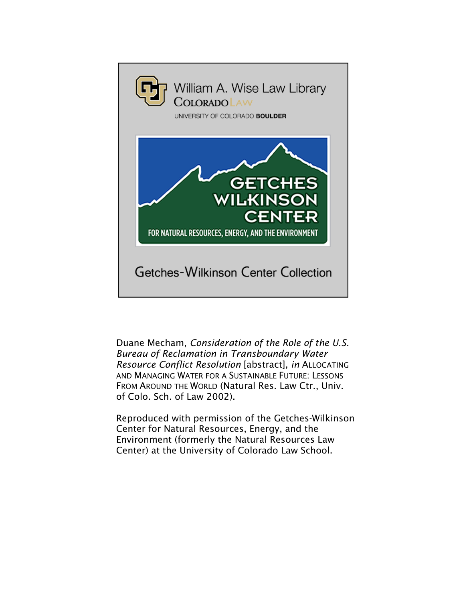

Duane Mecham, *Consideration of the Role of the U.S. Bureau of Reclamation in Transboundary Water Resource Conflict Resolution* [abstract], *in* ALLOCATING AND MANAGING WATER FOR A SUSTAINABLE FUTURE: LESSONS FROM AROUND THE WORLD (Natural Res. Law Ctr., Univ. of Colo. Sch. of Law 2002).

Reproduced with permission of the Getches-Wilkinson Center for Natural Resources, Energy, and the Environment (formerly the Natural Resources Law Center) at the University of Colorado Law School.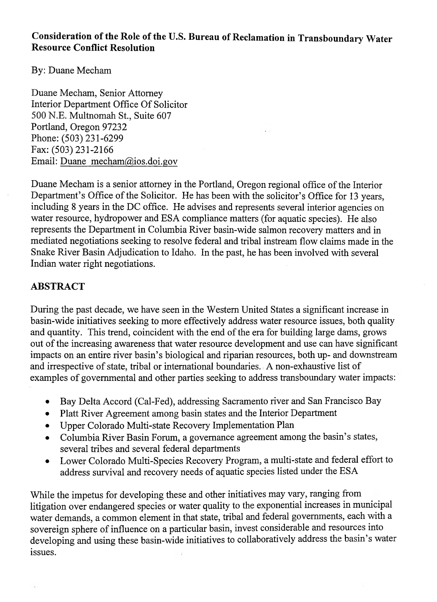## **Consideration of the Role of the U.S. Bureau of Reclamation in Transboundary Water Resource Conflict Resolution**

By: Duane Mecham

Duane Mecham, Senior Attorney Interior Department Office Of Solicitor 500 N.E. Multnomah St., Suite 607 Portland, Oregon 97232 Phone: (503) 231-6299 Fax: (503) 231-2166 Email: [Duane mecham@ios.doi.gov](mailto:Duane_mecham@ios.doi.gov)

Duane Mecham is a senior attorney in the Portland, Oregon regional office of the Interior Department's Office of the Solicitor. He has been with the solicitor's Office for 13 years, including 8 years in the DC office. He advises and represents several interior agencies on water resource, hydropower and ESA compliance matters (for aquatic species). He also represents the Department in Columbia River basin-wide salmon recovery matters and in mediated negotiations seeking to resolve federal and tribal instream flow claims made in the Snake River Basin Adjudication to Idaho. In the past, he has been involved with several Indian water right negotiations.

### **ABSTRACT**

During the past decade, we have seen in the Western United States a significant increase in basin-wide initiatives seeking to more effectively address water resource issues, both quality and quantity. This trend, coincident with the end of the era for building large dams, grows out of the increasing awareness that water resource development and use can have significant impacts on an entire river basin's biological and riparian resources, both up- and downstream and irrespective of state, tribal or international boundaries. A non-exhaustive list of examples of governmental and other parties seeking to address transboundary water impacts:

- Bay Delta Accord (Cal-Fed), addressing Sacramento river and San Francisco Bay
- Platt River Agreement among basin states and the Interior Department
- Upper Colorado Multi-state Recovery Implementation Plan
- Columbia River Basin Forum, a governance agreement among the basin's states, several tribes and several federal departments
- Lower Colorado Multi-Species Recovery Program, a multi-state and federal effort to address survival and recovery needs of aquatic species listed under the ESA

While the impetus for developing these and other initiatives may vary, ranging from litigation over endangered species or water quality to the exponential increases in municipal water demands, a common element in that state, tribal and federal governments, each with a sovereign sphere of influence on a particular basin, invest considerable and resources into developing and using these basin-wide initiatives to collaboratively address the basin's water issues.